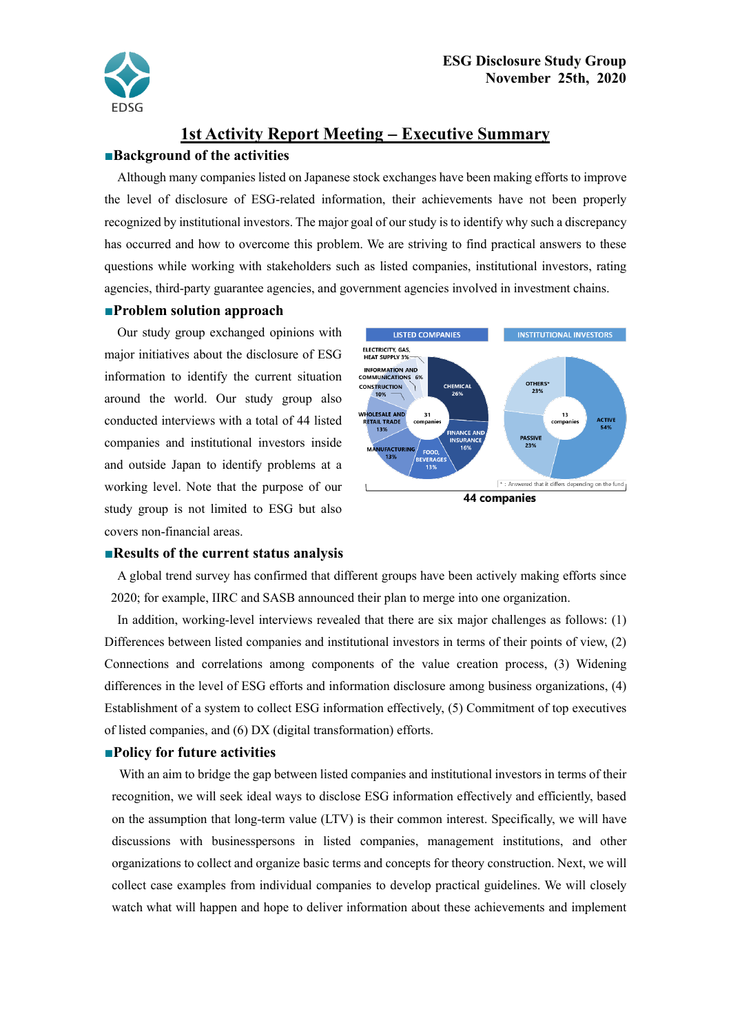

# **1st Activity Report Meeting** − **Executive Summary**

## **■Background of the activities**

Although many companies listed on Japanese stock exchanges have been making efforts to improve the level of disclosure of ESG-related information, their achievements have not been properly recognized by institutional investors. The major goal of our study is to identify why such a discrepancy has occurred and how to overcome this problem. We are striving to find practical answers to these questions while working with stakeholders such as listed companies, institutional investors, rating agencies, third-party guarantee agencies, and government agencies involved in investment chains.

## **■Problem solution approach**

Our study group exchanged opinions with major initiatives about the disclosure of ESG information to identify the current situation around the world. Our study group also conducted interviews with a total of 44 listed companies and institutional investors inside and outside Japan to identify problems at a working level. Note that the purpose of our study group is not limited to ESG but also covers non-financial areas.



#### **■Results of the current status analysis**

A global trend survey has confirmed that different groups have been actively making efforts since 2020; for example, IIRC and SASB announced their plan to merge into one organization.

In addition, working-level interviews revealed that there are six major challenges as follows: (1) Differences between listed companies and institutional investors in terms of their points of view, (2) Connections and correlations among components of the value creation process, (3) Widening differences in the level of ESG efforts and information disclosure among business organizations, (4) Establishment of a system to collect ESG information effectively, (5) Commitment of top executives of listed companies, and (6) DX (digital transformation) efforts.

## **■Policy for future activities**

With an aim to bridge the gap between listed companies and institutional investors in terms of their recognition, we will seek ideal ways to disclose ESG information effectively and efficiently, based on the assumption that long-term value (LTV) is their common interest. Specifically, we will have discussions with businesspersons in listed companies, management institutions, and other organizations to collect and organize basic terms and concepts for theory construction. Next, we will collect case examples from individual companies to develop practical guidelines. We will closely watch what will happen and hope to deliver information about these achievements and implement